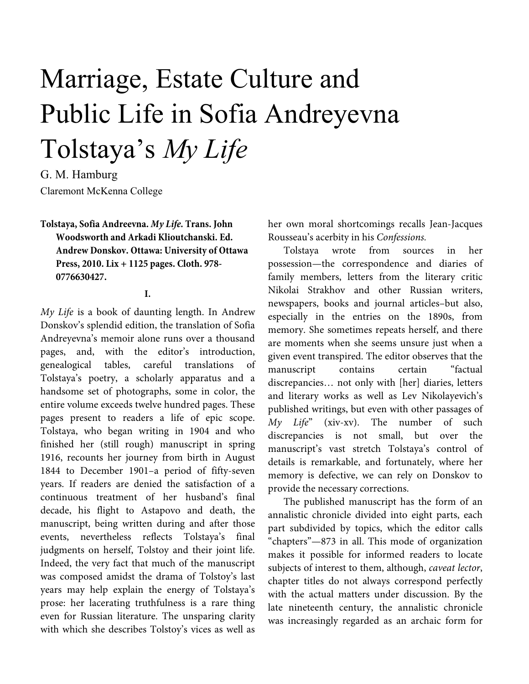# Marriage, Estate Culture and Public Life in Sofia Andreyevna Tolstaya's *My Life*

G. M. Hamburg Claremont McKenna College

**Tolstaya, Sofia Andreevna.** *My Life.* **Trans. John Woodsworth and Arkadi Klioutchanski. Ed. Andrew Donskov. Ottawa: University of Ottawa Press, 2010. Lix + 1125 pages. Cloth. 978- 0776630427.** 

#### **I.**

My Life is a book of daunting length. In Andrew Donskov's splendid edition, the translation of Sofia Andreyevna's memoir alone runs over a thousand pages, and, with the editor's introduction, genealogical tables, careful translations of Tolstaya's poetry, a scholarly apparatus and a handsome set of photographs, some in color, the entire volume exceeds twelve hundred pages. These pages present to readers a life of epic scope. Tolstaya, who began writing in 1904 and who finished her (still rough) manuscript in spring 1916, recounts her journey from birth in August 1844 to December 1901–a period of fifty-seven years. If readers are denied the satisfaction of a continuous treatment of her husband's final decade, his flight to Astapovo and death, the manuscript, being written during and after those events, nevertheless reflects Tolstaya's final judgments on herself, Tolstoy and their joint life. Indeed, the very fact that much of the manuscript was composed amidst the drama of Tolstoy's last years may help explain the energy of Tolstaya's prose: her lacerating truthfulness is a rare thing even for Russian literature. The unsparing clarity with which she describes Tolstoy's vices as well as

her own moral shortcomings recalls Jean-Jacques Rousseau's acerbity in his Confessions.

Tolstaya wrote from sources in her possession—the correspondence and diaries of family members, letters from the literary critic Nikolai Strakhov and other Russian writers, newspapers, books and journal articles–but also, especially in the entries on the 1890s, from memory. She sometimes repeats herself, and there are moments when she seems unsure just when a given event transpired. The editor observes that the manuscript contains certain "factual discrepancies… not only with [her] diaries, letters and literary works as well as Lev Nikolayevich's published writings, but even with other passages of  $My$  Life" (xiv-xv). The number of such discrepancies is not small, but over the manuscript's vast stretch Tolstaya's control of details is remarkable, and fortunately, where her memory is defective, we can rely on Donskov to provide the necessary corrections.

The published manuscript has the form of an annalistic chronicle divided into eight parts, each part subdivided by topics, which the editor calls "chapters"—873 in all. This mode of organization makes it possible for informed readers to locate subjects of interest to them, although, caveat lector, chapter titles do not always correspond perfectly with the actual matters under discussion. By the late nineteenth century, the annalistic chronicle was increasingly regarded as an archaic form for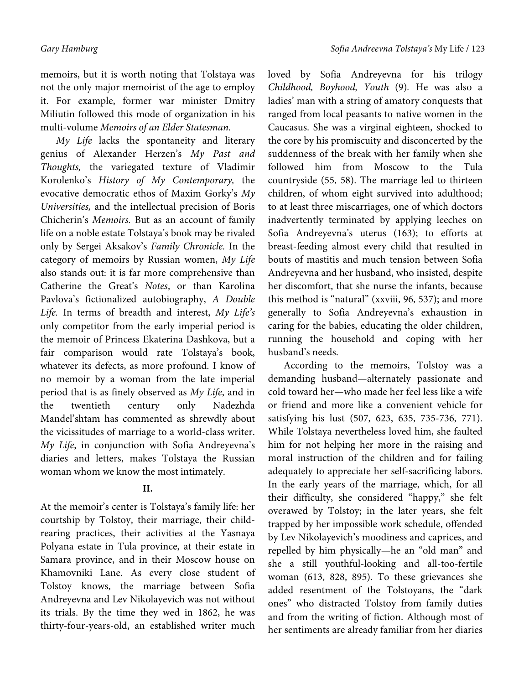memoirs, but it is worth noting that Tolstaya was not the only major memoirist of the age to employ it. For example, former war minister Dmitry Miliutin followed this mode of organization in his multi-volume Memoirs of an Elder Statesman.

My Life lacks the spontaneity and literary genius of Alexander Herzen's My Past and Thoughts, the variegated texture of Vladimir Korolenko's History of My Contemporary, the evocative democratic ethos of Maxim Gorky's My Universities, and the intellectual precision of Boris Chicherin's Memoirs. But as an account of family life on a noble estate Tolstaya's book may be rivaled only by Sergei Aksakov's Family Chronicle. In the category of memoirs by Russian women, My Life also stands out: it is far more comprehensive than Catherine the Great's Notes, or than Karolina Pavlova's fictionalized autobiography, A Double Life. In terms of breadth and interest, My Life's only competitor from the early imperial period is the memoir of Princess Ekaterina Dashkova, but a fair comparison would rate Tolstaya's book, whatever its defects, as more profound. I know of no memoir by a woman from the late imperial period that is as finely observed as My Life, and in the twentieth century only Nadezhda Mandel'shtam has commented as shrewdly about the vicissitudes of marriage to a world-class writer. My Life, in conjunction with Sofia Andreyevna's diaries and letters, makes Tolstaya the Russian woman whom we know the most intimately.

## **II.**

At the memoir's center is Tolstaya's family life: her courtship by Tolstoy, their marriage, their childrearing practices, their activities at the Yasnaya Polyana estate in Tula province, at their estate in Samara province, and in their Moscow house on Khamovniki Lane. As every close student of Tolstoy knows, the marriage between Sofia Andreyevna and Lev Nikolayevich was not without its trials. By the time they wed in 1862, he was thirty-four-years-old, an established writer much

loved by Sofia Andreyevna for his trilogy Childhood, Boyhood, Youth (9). He was also a ladies' man with a string of amatory conquests that ranged from local peasants to native women in the Caucasus. She was a virginal eighteen, shocked to the core by his promiscuity and disconcerted by the suddenness of the break with her family when she followed him from Moscow to the Tula countryside (55, 58). The marriage led to thirteen children, of whom eight survived into adulthood; to at least three miscarriages, one of which doctors inadvertently terminated by applying leeches on Sofia Andreyevna's uterus (163); to efforts at breast-feeding almost every child that resulted in bouts of mastitis and much tension between Sofia Andreyevna and her husband, who insisted, despite her discomfort, that she nurse the infants, because this method is "natural" (xxviii, 96, 537); and more generally to Sofia Andreyevna's exhaustion in caring for the babies, educating the older children, running the household and coping with her husband's needs.

According to the memoirs, Tolstoy was a demanding husband—alternately passionate and cold toward her—who made her feel less like a wife or friend and more like a convenient vehicle for satisfying his lust (507, 623, 635, 735-736, 771). While Tolstaya nevertheless loved him, she faulted him for not helping her more in the raising and moral instruction of the children and for failing adequately to appreciate her self-sacrificing labors. In the early years of the marriage, which, for all their difficulty, she considered "happy," she felt overawed by Tolstoy; in the later years, she felt trapped by her impossible work schedule, offended by Lev Nikolayevich's moodiness and caprices, and repelled by him physically—he an "old man" and she a still youthful-looking and all-too-fertile woman (613, 828, 895). To these grievances she added resentment of the Tolstoyans, the "dark ones" who distracted Tolstoy from family duties and from the writing of fiction. Although most of her sentiments are already familiar from her diaries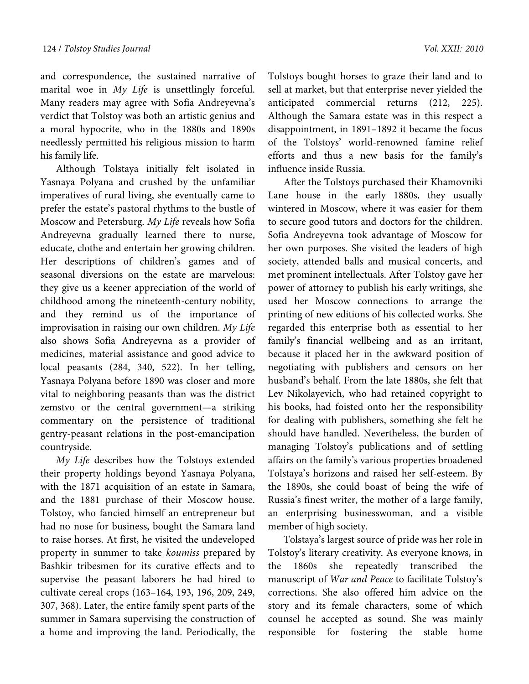and correspondence, the sustained narrative of marital woe in My Life is unsettlingly forceful. Many readers may agree with Sofia Andreyevna's verdict that Tolstoy was both an artistic genius and a moral hypocrite, who in the 1880s and 1890s needlessly permitted his religious mission to harm his family life.

Although Tolstaya initially felt isolated in Yasnaya Polyana and crushed by the unfamiliar imperatives of rural living, she eventually came to prefer the estate's pastoral rhythms to the bustle of Moscow and Petersburg. My Life reveals how Sofia Andreyevna gradually learned there to nurse, educate, clothe and entertain her growing children. Her descriptions of children's games and of seasonal diversions on the estate are marvelous: they give us a keener appreciation of the world of childhood among the nineteenth-century nobility, and they remind us of the importance of improvisation in raising our own children. My Life also shows Sofia Andreyevna as a provider of medicines, material assistance and good advice to local peasants (284, 340, 522). In her telling, Yasnaya Polyana before 1890 was closer and more vital to neighboring peasants than was the district zemstvo or the central government—a striking commentary on the persistence of traditional gentry-peasant relations in the post-emancipation countryside.

My Life describes how the Tolstoys extended their property holdings beyond Yasnaya Polyana, with the 1871 acquisition of an estate in Samara, and the 1881 purchase of their Moscow house. Tolstoy, who fancied himself an entrepreneur but had no nose for business, bought the Samara land to raise horses. At first, he visited the undeveloped property in summer to take koumiss prepared by Bashkir tribesmen for its curative effects and to supervise the peasant laborers he had hired to cultivate cereal crops (163–164, 193, 196, 209, 249, 307, 368). Later, the entire family spent parts of the summer in Samara supervising the construction of a home and improving the land. Periodically, the

Tolstoys bought horses to graze their land and to sell at market, but that enterprise never yielded the anticipated commercial returns (212, 225). Although the Samara estate was in this respect a disappointment, in 1891–1892 it became the focus of the Tolstoys' world-renowned famine relief efforts and thus a new basis for the family's influence inside Russia.

After the Tolstoys purchased their Khamovniki Lane house in the early 1880s, they usually wintered in Moscow, where it was easier for them to secure good tutors and doctors for the children. Sofia Andreyevna took advantage of Moscow for her own purposes. She visited the leaders of high society, attended balls and musical concerts, and met prominent intellectuals. After Tolstoy gave her power of attorney to publish his early writings, she used her Moscow connections to arrange the printing of new editions of his collected works. She regarded this enterprise both as essential to her family's financial wellbeing and as an irritant, because it placed her in the awkward position of negotiating with publishers and censors on her husband's behalf. From the late 1880s, she felt that Lev Nikolayevich, who had retained copyright to his books, had foisted onto her the responsibility for dealing with publishers, something she felt he should have handled. Nevertheless, the burden of managing Tolstoy's publications and of settling affairs on the family's various properties broadened Tolstaya's horizons and raised her self-esteem. By the 1890s, she could boast of being the wife of Russia's finest writer, the mother of a large family, an enterprising businesswoman, and a visible member of high society.

Tolstaya's largest source of pride was her role in Tolstoy's literary creativity. As everyone knows, in the 1860s she repeatedly transcribed the manuscript of War and Peace to facilitate Tolstoy's corrections. She also offered him advice on the story and its female characters, some of which counsel he accepted as sound. She was mainly responsible for fostering the stable home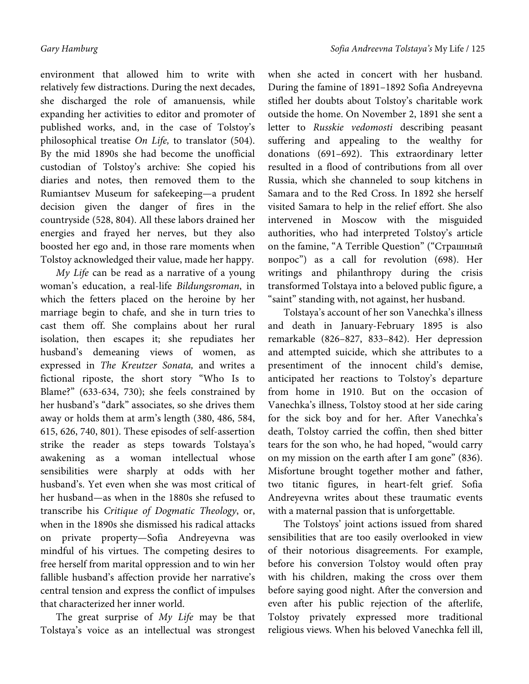environment that allowed him to write with relatively few distractions. During the next decades, she discharged the role of amanuensis, while expanding her activities to editor and promoter of published works, and, in the case of Tolstoy's philosophical treatise On Life, to translator (504). By the mid 1890s she had become the unofficial custodian of Tolstoy's archive: She copied his diaries and notes, then removed them to the Rumiantsev Museum for safekeeping—a prudent decision given the danger of fires in the countryside (528, 804). All these labors drained her energies and frayed her nerves, but they also boosted her ego and, in those rare moments when Tolstoy acknowledged their value, made her happy.

My Life can be read as a narrative of a young woman's education, a real-life Bildungsroman, in which the fetters placed on the heroine by her marriage begin to chafe, and she in turn tries to cast them off. She complains about her rural isolation, then escapes it; she repudiates her husband's demeaning views of women, as expressed in The Kreutzer Sonata, and writes a fictional riposte, the short story "Who Is to Blame?" (633-634, 730); she feels constrained by her husband's "dark" associates, so she drives them away or holds them at arm's length (380, 486, 584, 615, 626, 740, 801). These episodes of self-assertion strike the reader as steps towards Tolstaya's awakening as a woman intellectual whose sensibilities were sharply at odds with her husband's. Yet even when she was most critical of her husband—as when in the 1880s she refused to transcribe his Critique of Dogmatic Theology, or, when in the 1890s she dismissed his radical attacks on private property—Sofia Andreyevna was mindful of his virtues. The competing desires to free herself from marital oppression and to win her fallible husband's affection provide her narrative's central tension and express the conflict of impulses that characterized her inner world.

The great surprise of My Life may be that Tolstaya's voice as an intellectual was strongest when she acted in concert with her husband. During the famine of 1891–1892 Sofia Andreyevna stifled her doubts about Tolstoy's charitable work outside the home. On November 2, 1891 she sent a letter to Russkie vedomosti describing peasant suffering and appealing to the wealthy for donations (691–692). This extraordinary letter resulted in a flood of contributions from all over Russia, which she channeled to soup kitchens in Samara and to the Red Cross. In 1892 she herself visited Samara to help in the relief effort. She also intervened in Moscow with the misguided authorities, who had interpreted Tolstoy's article on the famine, "A Terrible Question" ("Страшный вопрос") as a call for revolution (698). Her writings and philanthropy during the crisis transformed Tolstaya into a beloved public figure, a "saint" standing with, not against, her husband.

Tolstaya's account of her son Vanechka's illness and death in January-February 1895 is also remarkable (826–827, 833–842). Her depression and attempted suicide, which she attributes to a presentiment of the innocent child's demise, anticipated her reactions to Tolstoy's departure from home in 1910. But on the occasion of Vanechka's illness, Tolstoy stood at her side caring for the sick boy and for her. After Vanechka's death, Tolstoy carried the coffin, then shed bitter tears for the son who, he had hoped, "would carry on my mission on the earth after I am gone" (836). Misfortune brought together mother and father, two titanic figures, in heart-felt grief. Sofia Andreyevna writes about these traumatic events with a maternal passion that is unforgettable.

The Tolstoys' joint actions issued from shared sensibilities that are too easily overlooked in view of their notorious disagreements. For example, before his conversion Tolstoy would often pray with his children, making the cross over them before saying good night. After the conversion and even after his public rejection of the afterlife, Tolstoy privately expressed more traditional religious views. When his beloved Vanechka fell ill,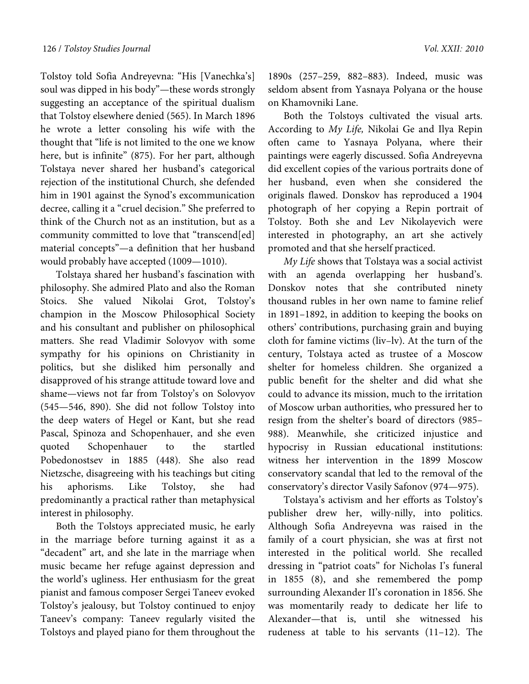Tolstoy told Sofia Andreyevna: "His [Vanechka's] soul was dipped in his body"—these words strongly suggesting an acceptance of the spiritual dualism that Tolstoy elsewhere denied (565). In March 1896 he wrote a letter consoling his wife with the thought that "life is not limited to the one we know here, but is infinite" (875). For her part, although Tolstaya never shared her husband's categorical rejection of the institutional Church, she defended him in 1901 against the Synod's excommunication decree, calling it a "cruel decision." She preferred to think of the Church not as an institution, but as a community committed to love that "transcend[ed] material concepts"—a definition that her husband would probably have accepted (1009—1010).

Tolstaya shared her husband's fascination with philosophy. She admired Plato and also the Roman Stoics. She valued Nikolai Grot, Tolstoy's champion in the Moscow Philosophical Society and his consultant and publisher on philosophical matters. She read Vladimir Solovyov with some sympathy for his opinions on Christianity in politics, but she disliked him personally and disapproved of his strange attitude toward love and shame—views not far from Tolstoy's on Solovyov (545—546, 890). She did not follow Tolstoy into the deep waters of Hegel or Kant, but she read Pascal, Spinoza and Schopenhauer, and she even quoted Schopenhauer to the startled Pobedonostsev in 1885 (448). She also read Nietzsche, disagreeing with his teachings but citing his aphorisms. Like Tolstoy, she had predominantly a practical rather than metaphysical interest in philosophy.

Both the Tolstoys appreciated music, he early in the marriage before turning against it as a "decadent" art, and she late in the marriage when music became her refuge against depression and the world's ugliness. Her enthusiasm for the great pianist and famous composer Sergei Taneev evoked Tolstoy's jealousy, but Tolstoy continued to enjoy Taneev's company: Taneev regularly visited the Tolstoys and played piano for them throughout the

1890s (257–259, 882–883). Indeed, music was seldom absent from Yasnaya Polyana or the house on Khamovniki Lane.

Both the Tolstoys cultivated the visual arts. According to My Life, Nikolai Ge and Ilya Repin often came to Yasnaya Polyana, where their paintings were eagerly discussed. Sofia Andreyevna did excellent copies of the various portraits done of her husband, even when she considered the originals flawed. Donskov has reproduced a 1904 photograph of her copying a Repin portrait of Tolstoy. Both she and Lev Nikolayevich were interested in photography, an art she actively promoted and that she herself practiced.

My Life shows that Tolstaya was a social activist with an agenda overlapping her husband's. Donskov notes that she contributed ninety thousand rubles in her own name to famine relief in 1891–1892, in addition to keeping the books on others' contributions, purchasing grain and buying cloth for famine victims (liv–lv). At the turn of the century, Tolstaya acted as trustee of a Moscow shelter for homeless children. She organized a public benefit for the shelter and did what she could to advance its mission, much to the irritation of Moscow urban authorities, who pressured her to resign from the shelter's board of directors (985– 988). Meanwhile, she criticized injustice and hypocrisy in Russian educational institutions: witness her intervention in the 1899 Moscow conservatory scandal that led to the removal of the conservatory's director Vasily Safonov (974—975).

Tolstaya's activism and her efforts as Tolstoy's publisher drew her, willy-nilly, into politics. Although Sofia Andreyevna was raised in the family of a court physician, she was at first not interested in the political world. She recalled dressing in "patriot coats" for Nicholas I's funeral in 1855 (8), and she remembered the pomp surrounding Alexander II's coronation in 1856. She was momentarily ready to dedicate her life to Alexander—that is, until she witnessed his rudeness at table to his servants (11–12). The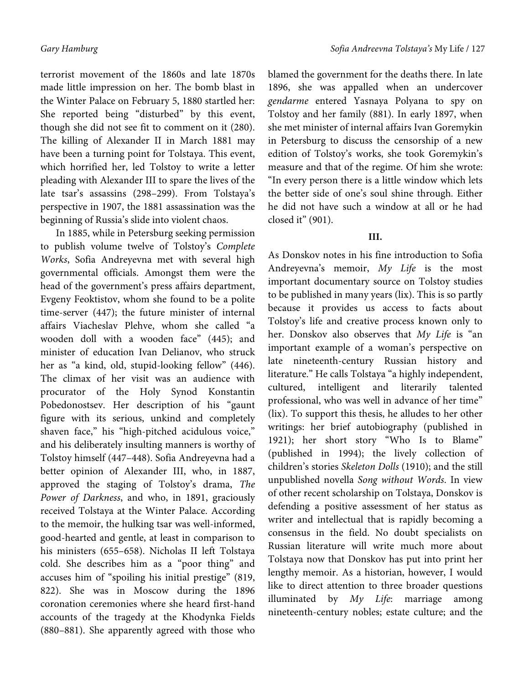terrorist movement of the 1860s and late 1870s made little impression on her. The bomb blast in the Winter Palace on February 5, 1880 startled her: She reported being "disturbed" by this event, though she did not see fit to comment on it (280). The killing of Alexander II in March 1881 may have been a turning point for Tolstaya. This event, which horrified her, led Tolstoy to write a letter pleading with Alexander III to spare the lives of the late tsar's assassins (298–299). From Tolstaya's perspective in 1907, the 1881 assassination was the beginning of Russia's slide into violent chaos.

In 1885, while in Petersburg seeking permission to publish volume twelve of Tolstoy's Complete Works, Sofia Andreyevna met with several high governmental officials. Amongst them were the head of the government's press affairs department, Evgeny Feoktistov, whom she found to be a polite time-server (447); the future minister of internal affairs Viacheslav Plehve, whom she called "a wooden doll with a wooden face" (445); and minister of education Ivan Delianov, who struck her as "a kind, old, stupid-looking fellow" (446). The climax of her visit was an audience with procurator of the Holy Synod Konstantin Pobedonostsev. Her description of his "gaunt figure with its serious, unkind and completely shaven face," his "high-pitched acidulous voice," and his deliberately insulting manners is worthy of Tolstoy himself (447–448). Sofia Andreyevna had a better opinion of Alexander III, who, in 1887, approved the staging of Tolstoy's drama, The Power of Darkness, and who, in 1891, graciously received Tolstaya at the Winter Palace. According to the memoir, the hulking tsar was well-informed, good-hearted and gentle, at least in comparison to his ministers (655–658). Nicholas II left Tolstaya cold. She describes him as a "poor thing" and accuses him of "spoiling his initial prestige" (819, 822). She was in Moscow during the 1896 coronation ceremonies where she heard first-hand accounts of the tragedy at the Khodynka Fields (880–881). She apparently agreed with those who

blamed the government for the deaths there. In late 1896, she was appalled when an undercover gendarme entered Yasnaya Polyana to spy on Tolstoy and her family (881). In early 1897, when she met minister of internal affairs Ivan Goremykin in Petersburg to discuss the censorship of a new edition of Tolstoy's works, she took Goremykin's measure and that of the regime. Of him she wrote: "In every person there is a little window which lets the better side of one's soul shine through. Either he did not have such a window at all or he had closed it" (901).

### **III.**

As Donskov notes in his fine introduction to Sofia Andreyevna's memoir, My Life is the most important documentary source on Tolstoy studies to be published in many years (lix). This is so partly because it provides us access to facts about Tolstoy's life and creative process known only to her. Donskov also observes that My Life is "an important example of a woman's perspective on late nineteenth-century Russian history and literature." He calls Tolstaya "a highly independent, cultured, intelligent and literarily talented professional, who was well in advance of her time" (lix). To support this thesis, he alludes to her other writings: her brief autobiography (published in 1921); her short story "Who Is to Blame" (published in 1994); the lively collection of children's stories Skeleton Dolls (1910); and the still unpublished novella Song without Words. In view of other recent scholarship on Tolstaya, Donskov is defending a positive assessment of her status as writer and intellectual that is rapidly becoming a consensus in the field. No doubt specialists on Russian literature will write much more about Tolstaya now that Donskov has put into print her lengthy memoir. As a historian, however, I would like to direct attention to three broader questions illuminated by  $My$  Life: marriage among nineteenth-century nobles; estate culture; and the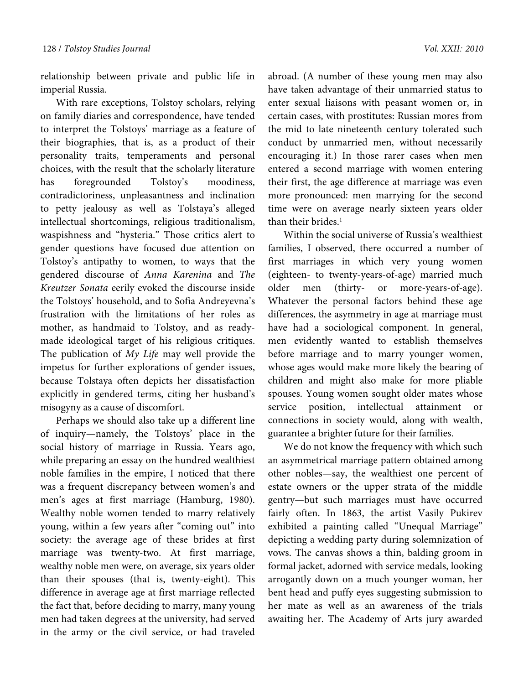relationship between private and public life in imperial Russia.

With rare exceptions, Tolstoy scholars, relying on family diaries and correspondence, have tended to interpret the Tolstoys' marriage as a feature of their biographies, that is, as a product of their personality traits, temperaments and personal choices, with the result that the scholarly literature has foregrounded Tolstoy's moodiness, contradictoriness, unpleasantness and inclination to petty jealousy as well as Tolstaya's alleged intellectual shortcomings, religious traditionalism, waspishness and "hysteria." Those critics alert to gender questions have focused due attention on Tolstoy's antipathy to women, to ways that the gendered discourse of Anna Karenina and The Kreutzer Sonata eerily evoked the discourse inside the Tolstoys' household, and to Sofia Andreyevna's frustration with the limitations of her roles as mother, as handmaid to Tolstoy, and as readymade ideological target of his religious critiques. The publication of My Life may well provide the impetus for further explorations of gender issues, because Tolstaya often depicts her dissatisfaction explicitly in gendered terms, citing her husband's misogyny as a cause of discomfort.

Perhaps we should also take up a different line of inquiry—namely, the Tolstoys' place in the social history of marriage in Russia. Years ago, while preparing an essay on the hundred wealthiest noble families in the empire, I noticed that there was a frequent discrepancy between women's and men's ages at first marriage (Hamburg, 1980). Wealthy noble women tended to marry relatively young, within a few years after "coming out" into society: the average age of these brides at first marriage was twenty-two. At first marriage, wealthy noble men were, on average, six years older than their spouses (that is, twenty-eight). This difference in average age at first marriage reflected the fact that, before deciding to marry, many young men had taken degrees at the university, had served in the army or the civil service, or had traveled

abroad. (A number of these young men may also have taken advantage of their unmarried status to enter sexual liaisons with peasant women or, in certain cases, with prostitutes: Russian mores from the mid to late nineteenth century tolerated such conduct by unmarried men, without necessarily encouraging it.) In those rarer cases when men entered a second marriage with women entering their first, the age difference at marriage was even more pronounced: men marrying for the second time were on average nearly sixteen years older than their brides.<sup>1</sup>

Within the social universe of Russia's wealthiest families, I observed, there occurred a number of first marriages in which very young women (eighteen- to twenty-years-of-age) married much older men (thirty- or more-years-of-age). Whatever the personal factors behind these age differences, the asymmetry in age at marriage must have had a sociological component. In general, men evidently wanted to establish themselves before marriage and to marry younger women, whose ages would make more likely the bearing of children and might also make for more pliable spouses. Young women sought older mates whose service position, intellectual attainment or connections in society would, along with wealth, guarantee a brighter future for their families.

We do not know the frequency with which such an asymmetrical marriage pattern obtained among other nobles—say, the wealthiest one percent of estate owners or the upper strata of the middle gentry—but such marriages must have occurred fairly often. In 1863, the artist Vasily Pukirev exhibited a painting called "Unequal Marriage" depicting a wedding party during solemnization of vows. The canvas shows a thin, balding groom in formal jacket, adorned with service medals, looking arrogantly down on a much younger woman, her bent head and puffy eyes suggesting submission to her mate as well as an awareness of the trials awaiting her. The Academy of Arts jury awarded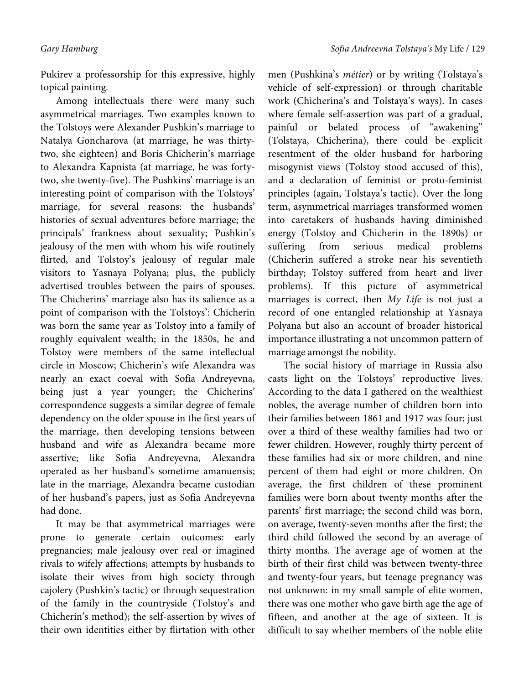Pukirev a professorship for this expressive, highly topical painting.

Among intellectuals there were many such asymmetrical marriages. Two examples known to the Tolstoys were Alexander Pushkin's marriage to Natalya Goncharova (at marriage, he was thirtytwo, she eighteen) and Boris Chicherin's marriage to Alexandra Kapnista (at marriage, he was fortytwo, she twenty-five). The Pushkins' marriage is an interesting point of comparison with the Tolstoys' marriage, for several reasons: the husbands' histories of sexual adventures before marriage; the principals' frankness about sexuality; Pushkin's jealousy of the men with whom his wife routinely flirted, and Tolstoy's jealousy of regular male visitors to Yasnaya Polyana; plus, the publicly advertised troubles between the pairs of spouses. The Chicherins' marriage also has its salience as a point of comparison with the Tolstoys': Chicherin was born the same year as Tolstoy into a family of roughly equivalent wealth; in the 1850s, he and Tolstoy were members of the same intellectual circle in Moscow; Chicherin's wife Alexandra was nearly an exact coeval with Sofia Andreyevna, being just a year younger; the Chicherins' correspondence suggests a similar degree of female dependency on the older spouse in the first years of the marriage, then developing tensions between husband and wife as Alexandra became more assertive; like Sofia Andreyevna, Alexandra operated as her husband's sometime amanuensis; late in the marriage, Alexandra became custodian of her husband's papers, just as Sofia Andreyevna had done.

It may be that asymmetrical marriages were prone to generate certain outcomes: early pregnancies; male jealousy over real or imagined rivals to wifely affections; attempts by husbands to isolate their wives from high society through cajolery (Pushkin's tactic) or through sequestration of the family in the countryside (Tolstoy's and Chicherin's method); the self-assertion by wives of their own identities either by flirtation with other

men (Pushkina's métier) or by writing (Tolstaya's vehicle of self-expression) or through charitable work (Chicherina's and Tolstaya's ways). In cases where female self-assertion was part of a gradual, painful or belated process of "awakening" (Tolstaya, Chicherina), there could be explicit resentment of the older husband for harboring misogynist views (Tolstoy stood accused of this), and a declaration of feminist or proto-feminist principles (again, Tolstaya's tactic). Over the long term, asymmetrical marriages transformed women into caretakers of husbands having diminished energy (Tolstoy and Chicherin in the 1890s) or suffering from serious medical problems (Chicherin suffered a stroke near his seventieth birthday; Tolstoy suffered from heart and liver problems). If this picture of asymmetrical marriages is correct, then My Life is not just a record of one entangled relationship at Yasnaya Polyana but also an account of broader historical importance illustrating a not uncommon pattern of marriage amongst the nobility.

The social history of marriage in Russia also casts light on the Tolstoys' reproductive lives. According to the data I gathered on the wealthiest nobles, the average number of children born into their families between 1861 and 1917 was four; just over a third of these wealthy families had two or fewer children. However, roughly thirty percent of these families had six or more children, and nine percent of them had eight or more children. On average, the first children of these prominent families were born about twenty months after the parents' first marriage; the second child was born, on average, twenty-seven months after the first; the third child followed the second by an average of thirty months. The average age of women at the birth of their first child was between twenty-three and twenty-four years, but teenage pregnancy was not unknown: in my small sample of elite women, there was one mother who gave birth age the age of fifteen, and another at the age of sixteen. It is difficult to say whether members of the noble elite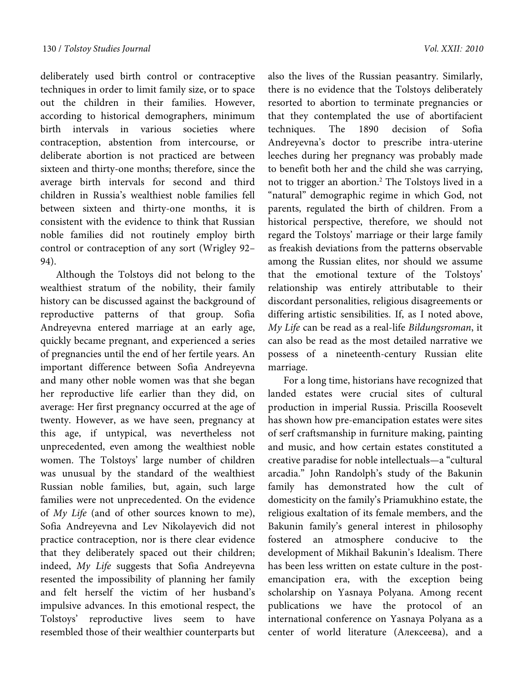deliberately used birth control or contraceptive techniques in order to limit family size, or to space out the children in their families. However, according to historical demographers, minimum birth intervals in various societies where contraception, abstention from intercourse, or deliberate abortion is not practiced are between sixteen and thirty-one months; therefore, since the average birth intervals for second and third children in Russia's wealthiest noble families fell between sixteen and thirty-one months, it is consistent with the evidence to think that Russian noble families did not routinely employ birth control or contraception of any sort (Wrigley 92– 94).

Although the Tolstoys did not belong to the wealthiest stratum of the nobility, their family history can be discussed against the background of reproductive patterns of that group. Sofia Andreyevna entered marriage at an early age, quickly became pregnant, and experienced a series of pregnancies until the end of her fertile years. An important difference between Sofia Andreyevna and many other noble women was that she began her reproductive life earlier than they did, on average: Her first pregnancy occurred at the age of twenty. However, as we have seen, pregnancy at this age, if untypical, was nevertheless not unprecedented, even among the wealthiest noble women. The Tolstoys' large number of children was unusual by the standard of the wealthiest Russian noble families, but, again, such large families were not unprecedented. On the evidence of My Life (and of other sources known to me), Sofia Andreyevna and Lev Nikolayevich did not practice contraception, nor is there clear evidence that they deliberately spaced out their children; indeed, My Life suggests that Sofia Andreyevna resented the impossibility of planning her family and felt herself the victim of her husband's impulsive advances. In this emotional respect, the Tolstoys' reproductive lives seem to have resembled those of their wealthier counterparts but

also the lives of the Russian peasantry. Similarly, there is no evidence that the Tolstoys deliberately resorted to abortion to terminate pregnancies or that they contemplated the use of abortifacient techniques. The 1890 decision of Sofia Andreyevna's doctor to prescribe intra-uterine leeches during her pregnancy was probably made to benefit both her and the child she was carrying, not to trigger an abortion.2 The Tolstoys lived in a "natural" demographic regime in which God, not parents, regulated the birth of children. From a historical perspective, therefore, we should not regard the Tolstoys' marriage or their large family as freakish deviations from the patterns observable among the Russian elites, nor should we assume that the emotional texture of the Tolstoys' relationship was entirely attributable to their discordant personalities, religious disagreements or differing artistic sensibilities. If, as I noted above, My Life can be read as a real-life Bildungsroman, it can also be read as the most detailed narrative we possess of a nineteenth-century Russian elite marriage.

For a long time, historians have recognized that landed estates were crucial sites of cultural production in imperial Russia. Priscilla Roosevelt has shown how pre-emancipation estates were sites of serf craftsmanship in furniture making, painting and music, and how certain estates constituted a creative paradise for noble intellectuals—a "cultural arcadia." John Randolph's study of the Bakunin family has demonstrated how the cult of domesticity on the family's Priamukhino estate, the religious exaltation of its female members, and the Bakunin family's general interest in philosophy fostered an atmosphere conducive to the development of Mikhail Bakunin's Idealism. There has been less written on estate culture in the postemancipation era, with the exception being scholarship on Yasnaya Polyana. Among recent publications we have the protocol of an international conference on Yasnaya Polyana as a center of world literature (Алексеева), and a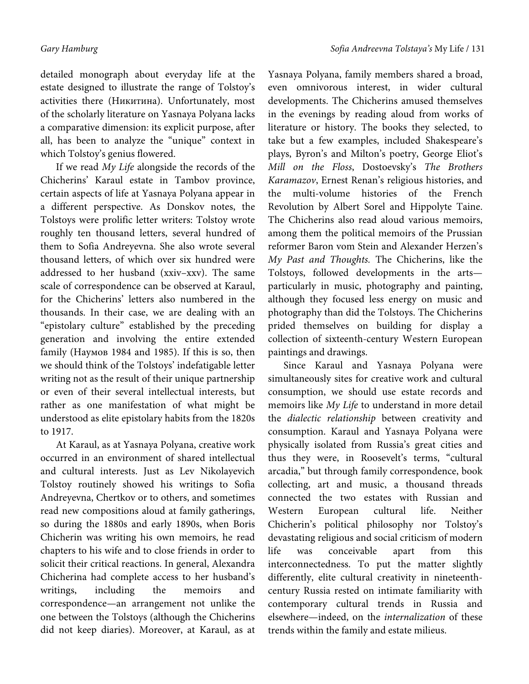detailed monograph about everyday life at the estate designed to illustrate the range of Tolstoy's activities there (Никитина). Unfortunately, most of the scholarly literature on Yasnaya Polyana lacks a comparative dimension: its explicit purpose, after all, has been to analyze the "unique" context in which Tolstoy's genius flowered.

If we read My Life alongside the records of the Chicherins' Karaul estate in Tambov province, certain aspects of life at Yasnaya Polyana appear in a different perspective. As Donskov notes, the Tolstoys were prolific letter writers: Tolstoy wrote roughly ten thousand letters, several hundred of them to Sofia Andreyevna. She also wrote several thousand letters, of which over six hundred were addressed to her husband (xxiv–xxv). The same scale of correspondence can be observed at Karaul, for the Chicherins' letters also numbered in the thousands. In their case, we are dealing with an "epistolary culture" established by the preceding generation and involving the entire extended family (Наумов 1984 and 1985). If this is so, then we should think of the Tolstoys' indefatigable letter writing not as the result of their unique partnership or even of their several intellectual interests, but rather as one manifestation of what might be understood as elite epistolary habits from the 1820s to 1917.

At Karaul, as at Yasnaya Polyana, creative work occurred in an environment of shared intellectual and cultural interests. Just as Lev Nikolayevich Tolstoy routinely showed his writings to Sofia Andreyevna, Chertkov or to others, and sometimes read new compositions aloud at family gatherings, so during the 1880s and early 1890s, when Boris Chicherin was writing his own memoirs, he read chapters to his wife and to close friends in order to solicit their critical reactions. In general, Alexandra Chicherina had complete access to her husband's writings, including the memoirs and correspondence—an arrangement not unlike the one between the Tolstoys (although the Chicherins did not keep diaries). Moreover, at Karaul, as at Yasnaya Polyana, family members shared a broad, even omnivorous interest, in wider cultural developments. The Chicherins amused themselves in the evenings by reading aloud from works of literature or history. The books they selected, to take but a few examples, included Shakespeare's plays, Byron's and Milton's poetry, George Eliot's Mill on the Floss, Dostoevsky's The Brothers Karamazov, Ernest Renan's religious histories, and the multi-volume histories of the French Revolution by Albert Sorel and Hippolyte Taine. The Chicherins also read aloud various memoirs, among them the political memoirs of the Prussian reformer Baron vom Stein and Alexander Herzen's My Past and Thoughts. The Chicherins, like the Tolstoys, followed developments in the arts particularly in music, photography and painting, although they focused less energy on music and photography than did the Tolstoys. The Chicherins prided themselves on building for display a collection of sixteenth-century Western European paintings and drawings.

Since Karaul and Yasnaya Polyana were simultaneously sites for creative work and cultural consumption, we should use estate records and memoirs like My Life to understand in more detail the dialectic relationship between creativity and consumption. Karaul and Yasnaya Polyana were physically isolated from Russia's great cities and thus they were, in Roosevelt's terms, "cultural arcadia," but through family correspondence, book collecting, art and music, a thousand threads connected the two estates with Russian and Western European cultural life. Neither Chicherin's political philosophy nor Tolstoy's devastating religious and social criticism of modern life was conceivable apart from this interconnectedness. To put the matter slightly differently, elite cultural creativity in nineteenthcentury Russia rested on intimate familiarity with contemporary cultural trends in Russia and elsewhere—indeed, on the internalization of these trends within the family and estate milieus.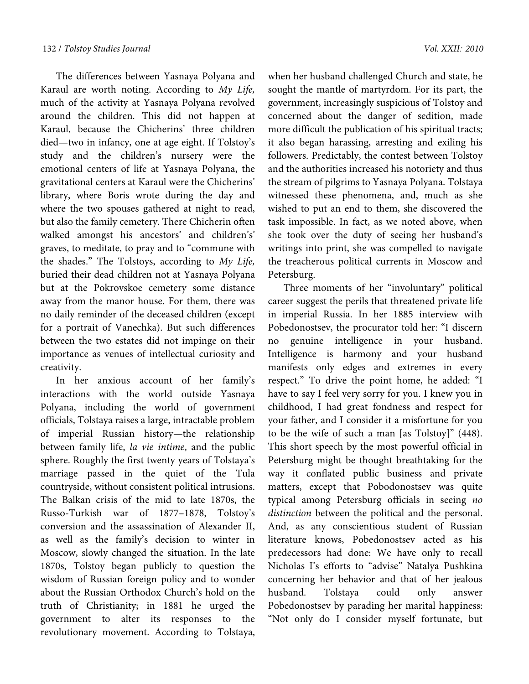The differences between Yasnaya Polyana and Karaul are worth noting. According to My Life, much of the activity at Yasnaya Polyana revolved around the children. This did not happen at Karaul, because the Chicherins' three children died—two in infancy, one at age eight. If Tolstoy's study and the children's nursery were the emotional centers of life at Yasnaya Polyana, the gravitational centers at Karaul were the Chicherins' library, where Boris wrote during the day and where the two spouses gathered at night to read, but also the family cemetery. There Chicherin often walked amongst his ancestors' and children's' graves, to meditate, to pray and to "commune with the shades." The Tolstoys, according to My Life, buried their dead children not at Yasnaya Polyana but at the Pokrovskoe cemetery some distance away from the manor house. For them, there was no daily reminder of the deceased children (except for a portrait of Vanechka). But such differences between the two estates did not impinge on their importance as venues of intellectual curiosity and creativity.

In her anxious account of her family's interactions with the world outside Yasnaya Polyana, including the world of government officials, Tolstaya raises a large, intractable problem of imperial Russian history—the relationship between family life, la vie intime, and the public sphere. Roughly the first twenty years of Tolstaya's marriage passed in the quiet of the Tula countryside, without consistent political intrusions. The Balkan crisis of the mid to late 1870s, the Russo-Turkish war of 1877–1878, Tolstoy's conversion and the assassination of Alexander II, as well as the family's decision to winter in Moscow, slowly changed the situation. In the late 1870s, Tolstoy began publicly to question the wisdom of Russian foreign policy and to wonder about the Russian Orthodox Church's hold on the truth of Christianity; in 1881 he urged the government to alter its responses to the revolutionary movement. According to Tolstaya,

when her husband challenged Church and state, he sought the mantle of martyrdom. For its part, the government, increasingly suspicious of Tolstoy and concerned about the danger of sedition, made more difficult the publication of his spiritual tracts; it also began harassing, arresting and exiling his followers. Predictably, the contest between Tolstoy and the authorities increased his notoriety and thus the stream of pilgrims to Yasnaya Polyana. Tolstaya witnessed these phenomena, and, much as she wished to put an end to them, she discovered the task impossible. In fact, as we noted above, when she took over the duty of seeing her husband's writings into print, she was compelled to navigate the treacherous political currents in Moscow and Petersburg.

Three moments of her "involuntary" political career suggest the perils that threatened private life in imperial Russia. In her 1885 interview with Pobedonostsev, the procurator told her: "I discern no genuine intelligence in your husband. Intelligence is harmony and your husband manifests only edges and extremes in every respect." To drive the point home, he added: "I have to say I feel very sorry for you. I knew you in childhood, I had great fondness and respect for your father, and I consider it a misfortune for you to be the wife of such a man [as Tolstoy]" (448). This short speech by the most powerful official in Petersburg might be thought breathtaking for the way it conflated public business and private matters, except that Pobodonostsev was quite typical among Petersburg officials in seeing no distinction between the political and the personal. And, as any conscientious student of Russian literature knows, Pobedonostsev acted as his predecessors had done: We have only to recall Nicholas I's efforts to "advise" Natalya Pushkina concerning her behavior and that of her jealous husband. Tolstaya could only answer Pobedonostsev by parading her marital happiness: "Not only do I consider myself fortunate, but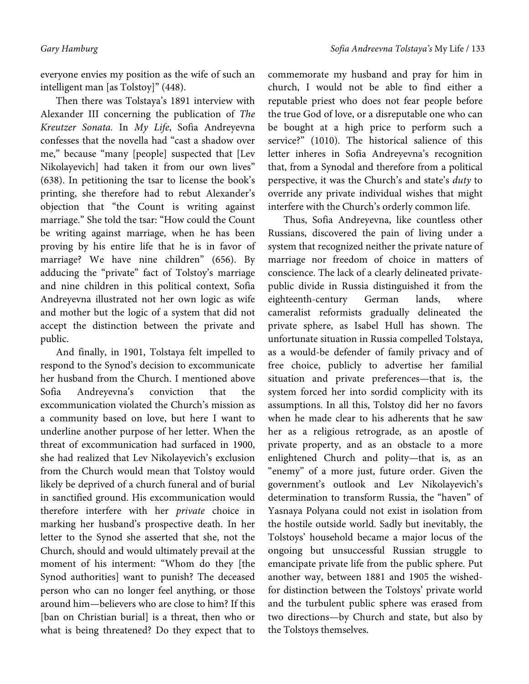everyone envies my position as the wife of such an intelligent man [as Tolstoy]" (448).

Then there was Tolstaya's 1891 interview with Alexander III concerning the publication of The Kreutzer Sonata. In My Life, Sofia Andreyevna confesses that the novella had "cast a shadow over me," because "many [people] suspected that [Lev Nikolayevich] had taken it from our own lives" (638). In petitioning the tsar to license the book's printing, she therefore had to rebut Alexander's objection that "the Count is writing against marriage." She told the tsar: "How could the Count be writing against marriage, when he has been proving by his entire life that he is in favor of marriage? We have nine children" (656). By adducing the "private" fact of Tolstoy's marriage and nine children in this political context, Sofia Andreyevna illustrated not her own logic as wife and mother but the logic of a system that did not accept the distinction between the private and public.

And finally, in 1901, Tolstaya felt impelled to respond to the Synod's decision to excommunicate her husband from the Church. I mentioned above Sofia Andreyevna's conviction that the excommunication violated the Church's mission as a community based on love, but here I want to underline another purpose of her letter. When the threat of excommunication had surfaced in 1900, she had realized that Lev Nikolayevich's exclusion from the Church would mean that Tolstoy would likely be deprived of a church funeral and of burial in sanctified ground. His excommunication would therefore interfere with her private choice in marking her husband's prospective death. In her letter to the Synod she asserted that she, not the Church, should and would ultimately prevail at the moment of his interment: "Whom do they [the Synod authorities] want to punish? The deceased person who can no longer feel anything, or those around him—believers who are close to him? If this [ban on Christian burial] is a threat, then who or what is being threatened? Do they expect that to

commemorate my husband and pray for him in church, I would not be able to find either a reputable priest who does not fear people before the true God of love, or a disreputable one who can be bought at a high price to perform such a service?" (1010). The historical salience of this letter inheres in Sofia Andreyevna's recognition that, from a Synodal and therefore from a political perspective, it was the Church's and state's duty to override any private individual wishes that might interfere with the Church's orderly common life.

Thus, Sofia Andreyevna, like countless other Russians, discovered the pain of living under a system that recognized neither the private nature of marriage nor freedom of choice in matters of conscience. The lack of a clearly delineated privatepublic divide in Russia distinguished it from the eighteenth-century German lands, where cameralist reformists gradually delineated the private sphere, as Isabel Hull has shown. The unfortunate situation in Russia compelled Tolstaya, as a would-be defender of family privacy and of free choice, publicly to advertise her familial situation and private preferences—that is, the system forced her into sordid complicity with its assumptions. In all this, Tolstoy did her no favors when he made clear to his adherents that he saw her as a religious retrograde, as an apostle of private property, and as an obstacle to a more enlightened Church and polity—that is, as an "enemy" of a more just, future order. Given the government's outlook and Lev Nikolayevich's determination to transform Russia, the "haven" of Yasnaya Polyana could not exist in isolation from the hostile outside world. Sadly but inevitably, the Tolstoys' household became a major locus of the ongoing but unsuccessful Russian struggle to emancipate private life from the public sphere. Put another way, between 1881 and 1905 the wishedfor distinction between the Tolstoys' private world and the turbulent public sphere was erased from two directions—by Church and state, but also by the Tolstoys themselves.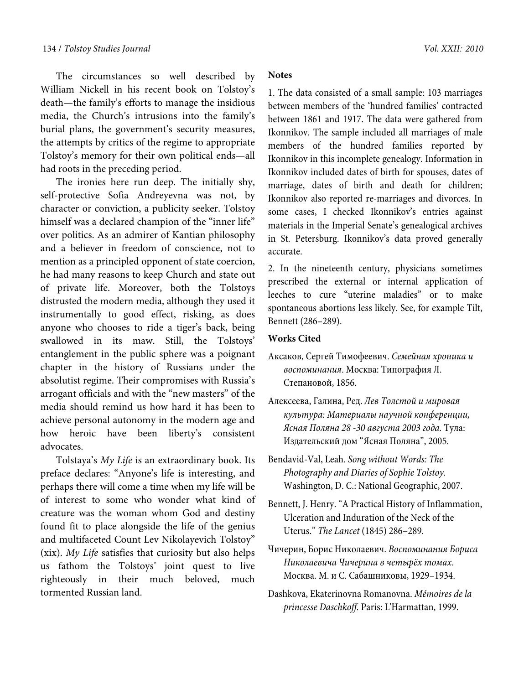The circumstances so well described by William Nickell in his recent book on Tolstoy's death—the family's efforts to manage the insidious media, the Church's intrusions into the family's burial plans, the government's security measures, the attempts by critics of the regime to appropriate Tolstoy's memory for their own political ends—all had roots in the preceding period.

The ironies here run deep. The initially shy, self-protective Sofia Andreyevna was not, by character or conviction, a publicity seeker. Tolstoy himself was a declared champion of the "inner life" over politics. As an admirer of Kantian philosophy and a believer in freedom of conscience, not to mention as a principled opponent of state coercion, he had many reasons to keep Church and state out of private life. Moreover, both the Tolstoys distrusted the modern media, although they used it instrumentally to good effect, risking, as does anyone who chooses to ride a tiger's back, being swallowed in its maw. Still, the Tolstoys' entanglement in the public sphere was a poignant chapter in the history of Russians under the absolutist regime. Their compromises with Russia's arrogant officials and with the "new masters" of the media should remind us how hard it has been to achieve personal autonomy in the modern age and how heroic have been liberty's consistent advocates.

Tolstaya's My Life is an extraordinary book. Its preface declares: "Anyone's life is interesting, and perhaps there will come a time when my life will be of interest to some who wonder what kind of creature was the woman whom God and destiny found fit to place alongside the life of the genius and multifaceted Count Lev Nikolayevich Tolstoy" (xix). My Life satisfies that curiosity but also helps us fathom the Tolstoys' joint quest to live righteously in their much beloved, much tormented Russian land.

#### **Notes**

1. The data consisted of a small sample: 103 marriages between members of the 'hundred families' contracted between 1861 and 1917. The data were gathered from Ikonnikov. The sample included all marriages of male members of the hundred families reported by Ikonnikov in this incomplete genealogy. Information in Ikonnikov included dates of birth for spouses, dates of marriage, dates of birth and death for children; Ikonnikov also reported re-marriages and divorces. In some cases, I checked Ikonnikov's entries against materials in the Imperial Senate's genealogical archives in St. Petersburg. Ikonnikov's data proved generally accurate.

2. In the nineteenth century, physicians sometimes prescribed the external or internal application of leeches to cure "uterine maladies" or to make spontaneous abortions less likely. See, for example Tilt, Bennett (286–289).

### **Works Cited**

- Аксаков, Сергей Тимофеевич. *Семейная хроника и воспоминания*. Москва: Типография Л. Степановой, 1856.
- Алексеева, Галина, Ред. *Лев Толстой и мировая культура: Материалы научной конференции, Ясная Поляна 28 -30 августа 2003 года.* Тула: Издательский дом "Ясная Поляна", 2005.
- Bendavid-Val, Leah. *Song without Words: The Photography and Diaries of Sophie Tolstoy.*  Washington, D. C.: National Geographic, 2007.
- Bennett, J. Henry. "A Practical History of Inflammation, Ulceration and Induration of the Neck of the Uterus." *The Lancet* (1845) 286–289.
- Чичерин, Борис Николаевич. *Воспоминания Бориса Николаевича Чичерина в четырёх томах*. Москва. М. и С. Сабашниковы, 1929–1934.
- Dashkova, Ekaterinovna Romanovna. *Mémoires de la princesse Daschkoff.* Paris: L'Harmattan, 1999.